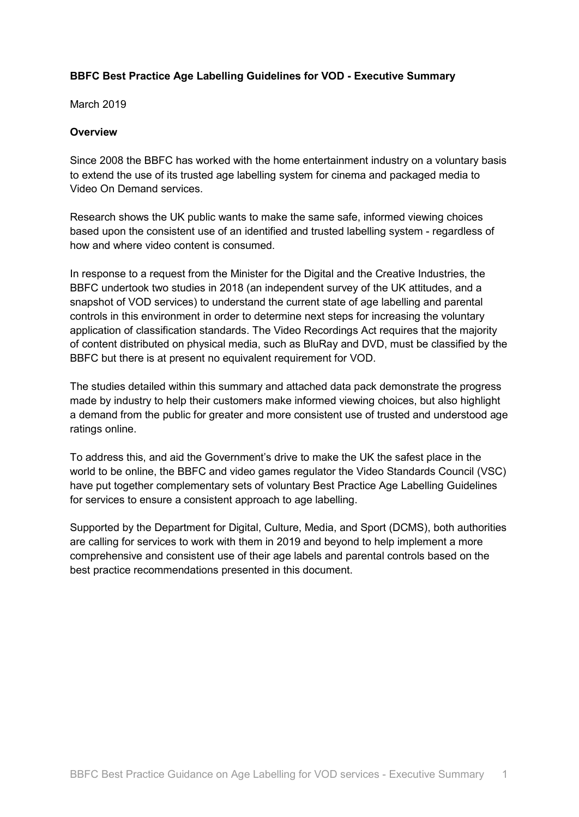# **BBFC Best Practice Age Labelling Guidelines for VOD - Executive Summary**

March 2019

### **Overview**

Since 2008 the BBFC has worked with the home entertainment industry on a voluntary basis to extend the use of its trusted age labelling system for cinema and packaged media to Video On Demand services.

Research shows the UK public wants to make the same safe, informed viewing choices based upon the consistent use of an identified and trusted labelling system - regardless of how and where video content is consumed.

In response to a request from the Minister for the Digital and the Creative Industries, the BBFC undertook two studies in 2018 (an independent survey of the UK attitudes, and a snapshot of VOD services) to understand the current state of age labelling and parental controls in this environment in order to determine next steps for increasing the voluntary application of classification standards. The Video Recordings Act requires that the majority of content distributed on physical media, such as BluRay and DVD, must be classified by the BBFC but there is at present no equivalent requirement for VOD.

The studies detailed within this summary and attached data pack demonstrate the progress made by industry to help their customers make informed viewing choices, but also highlight a demand from the public for greater and more consistent use of trusted and understood age ratings online.

To address this, and aid the Government's drive to make the UK the safest place in the world to be online, the BBFC and video games regulator the Video Standards Council (VSC) have put together complementary sets of voluntary Best Practice Age Labelling Guidelines for services to ensure a consistent approach to age labelling.

Supported by the Department for Digital, Culture, Media, and Sport (DCMS), both authorities are calling for services to work with them in 2019 and beyond to help implement a more comprehensive and consistent use of their age labels and parental controls based on the best practice recommendations presented in this document.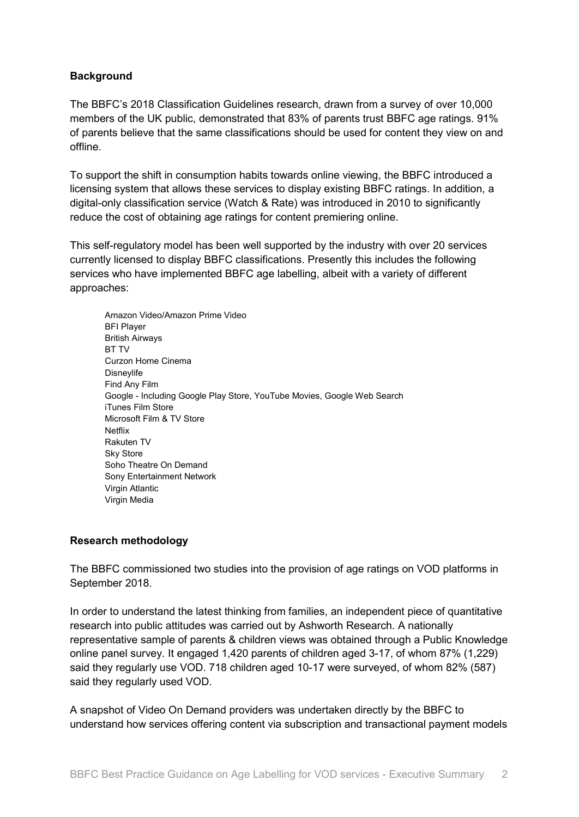# **Background**

The BBFC's 2018 Classification Guidelines research, drawn from a survey of over 10,000 members of the UK public, demonstrated that 83% of parents trust BBFC age ratings. 91% of parents believe that the same classifications should be used for content they view on and offline.

To support the shift in consumption habits towards online viewing, the BBFC introduced a licensing system that allows these services to display existing BBFC ratings. In addition, a digital-only classification service (Watch & Rate) was introduced in 2010 to significantly reduce the cost of obtaining age ratings for content premiering online.

This self-regulatory model has been well supported by the industry with over 20 services currently licensed to display BBFC classifications. Presently this includes the following services who have implemented BBFC age labelling, albeit with a variety of different approaches:

Amazon Video/Amazon Prime Video BFI Player British Airways BT TV Curzon Home Cinema Disneylife Find Any Film Google - Including Google Play Store, YouTube Movies, Google Web Search iTunes Film Store Microsoft Film & TV Store Netflix Rakuten TV Sky Store Soho Theatre On Demand Sony Entertainment Network Virgin Atlantic Virgin Media

## **Research methodology**

The BBFC commissioned two studies into the provision of age ratings on VOD platforms in September 2018.

In order to understand the latest thinking from families, an independent piece of quantitative research into public attitudes was carried out by Ashworth Research. A nationally representative sample of parents & children views was obtained through a Public Knowledge online panel survey. It engaged 1,420 parents of children aged 3-17, of whom 87% (1,229) said they regularly use VOD. 718 children aged 10-17 were surveyed, of whom 82% (587) said they regularly used VOD.

A snapshot of Video On Demand providers was undertaken directly by the BBFC to understand how services offering content via subscription and transactional payment models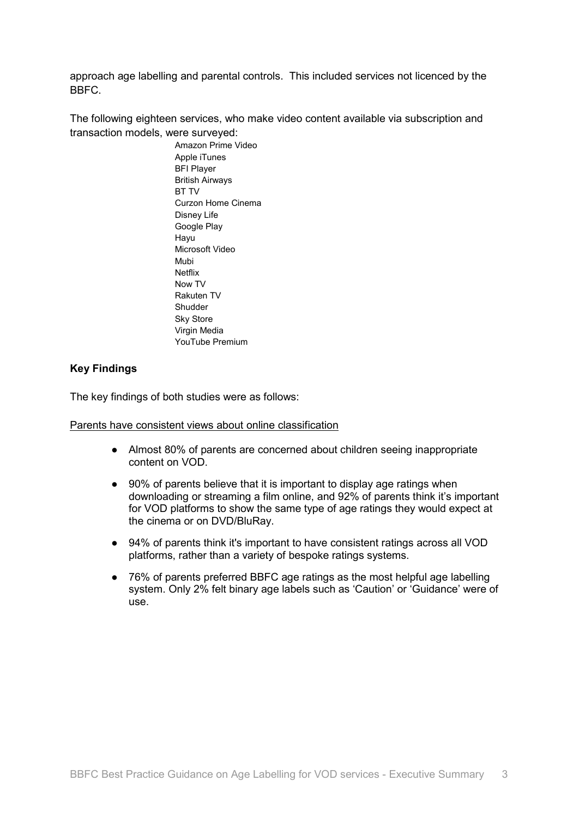approach age labelling and parental controls. This included services not licenced by the BBFC.

The following eighteen services, who make video content available via subscription and transaction models, were surveyed:

> Amazon Prime Video Apple iTunes BFI Player British Airways BT TV Curzon Home Cinema Disney Life Google Play Hayu Microsoft Video Mubi Netflix Now TV Rakuten TV **Shudder** Sky Store Virgin Media YouTube Premium

## **Key Findings**

The key findings of both studies were as follows:

Parents have consistent views about online classification

- Almost 80% of parents are concerned about children seeing inappropriate content on VOD.
- 90% of parents believe that it is important to display age ratings when downloading or streaming a film online, and 92% of parents think it's important for VOD platforms to show the same type of age ratings they would expect at the cinema or on DVD/BluRay.
- 94% of parents think it's important to have consistent ratings across all VOD platforms, rather than a variety of bespoke ratings systems.
- 76% of parents preferred BBFC age ratings as the most helpful age labelling system. Only 2% felt binary age labels such as 'Caution' or 'Guidance' were of use.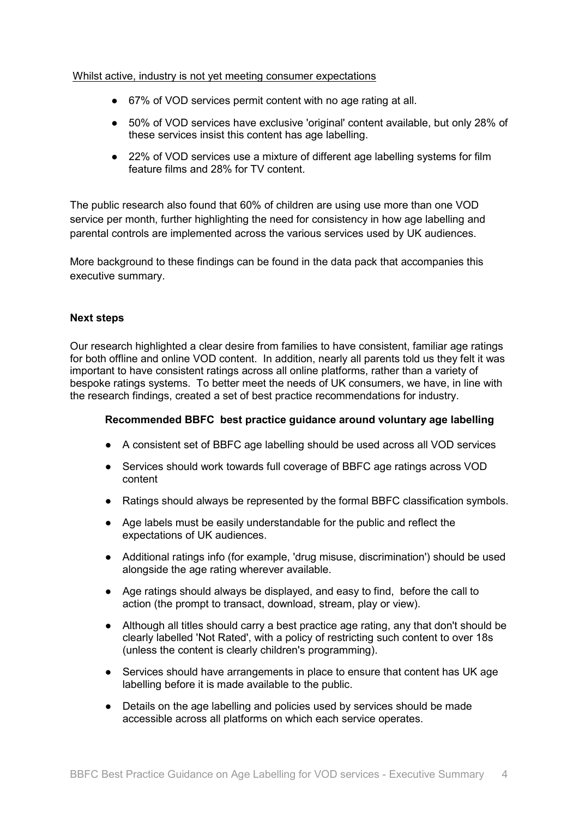#### Whilst active, industry is not yet meeting consumer expectations

- 67% of VOD services permit content with no age rating at all.
- 50% of VOD services have exclusive 'original' content available, but only 28% of these services insist this content has age labelling.
- 22% of VOD services use a mixture of different age labelling systems for film feature films and 28% for TV content.

The public research also found that 60% of children are using use more than one VOD service per month, further highlighting the need for consistency in how age labelling and parental controls are implemented across the various services used by UK audiences.

More background to these findings can be found in the data pack that accompanies this executive summary.

## **Next steps**

Our research highlighted a clear desire from families to have consistent, familiar age ratings for both offline and online VOD content. In addition, nearly all parents told us they felt it was important to have consistent ratings across all online platforms, rather than a variety of bespoke ratings systems. To better meet the needs of UK consumers, we have, in line with the research findings, created a set of best practice recommendations for industry.

## **Recommended BBFC best practice guidance around voluntary age labelling**

- A consistent set of BBFC age labelling should be used across all VOD services
- Services should work towards full coverage of BBFC age ratings across VOD content
- Ratings should always be represented by the formal BBFC classification symbols.
- Age labels must be easily understandable for the public and reflect the expectations of UK audiences.
- Additional ratings info (for example, 'drug misuse, discrimination') should be used alongside the age rating wherever available.
- Age ratings should always be displayed, and easy to find, before the call to action (the prompt to transact, download, stream, play or view).
- Although all titles should carry a best practice age rating, any that don't should be clearly labelled 'Not Rated', with a policy of restricting such content to over 18s (unless the content is clearly children's programming).
- Services should have arrangements in place to ensure that content has UK age labelling before it is made available to the public.
- Details on the age labelling and policies used by services should be made accessible across all platforms on which each service operates.